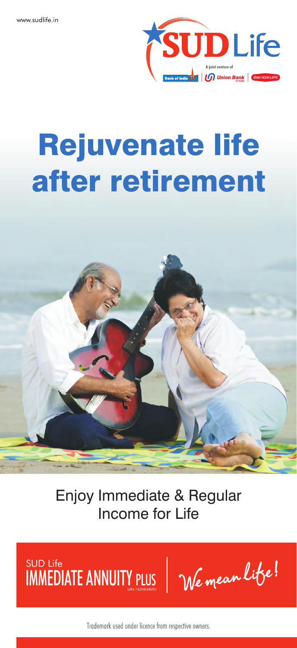

# Rejuvenate life after retirement



Enjoy Immediate & Regular Income for Life

IMMEDIAI E ANNUITY PLUS SUD Life

Trademark used under licence from respective owners.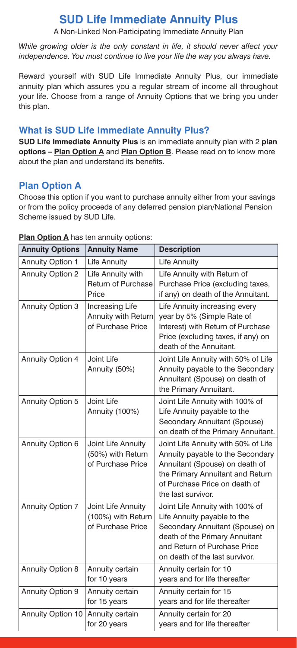## **SUD Life Immediate Annuity Plus**

A Non-Linked Non-Participating Immediate Annuity Plan

*While growing older is the only constant in life, it should never affect your independence. You must continue to live your life the way you always have.*

Reward yourself with SUD Life Immediate Annuity Plus, our immediate annuity plan which assures you a regular stream of income all throughout your life. Choose from a range of Annuity Options that we bring you under this plan.

## **What is SUD Life Immediate Annuity Plus?**

**SUD Life Immediate Annuity Plus** is an immediate annuity plan with 2 **plan options – Plan Option A** and **Plan Option B**. Please read on to know more about the plan and understand its benefits.

## **Plan Option A**

Choose this option if you want to purchase annuity either from your savings or from the policy proceeds of any deferred pension plan/National Pension Scheme issued by SUD Life.

| <b>Annuity Options</b>  | <b>Annuity Name</b>                                           | <b>Description</b>                                                                                                                                                                                    |
|-------------------------|---------------------------------------------------------------|-------------------------------------------------------------------------------------------------------------------------------------------------------------------------------------------------------|
| <b>Annuity Option 1</b> | Life Annuity                                                  | Life Annuity                                                                                                                                                                                          |
| <b>Annuity Option 2</b> | Life Annuity with<br>Return of Purchase<br>Price              | Life Annuity with Return of<br>Purchase Price (excluding taxes,<br>if any) on death of the Annuitant.                                                                                                 |
| <b>Annuity Option 3</b> | Increasing Life<br>Annuity with Return<br>of Purchase Price   | Life Annuity increasing every<br>year by 5% (Simple Rate of<br>Interest) with Return of Purchase<br>Price (excluding taxes, if any) on<br>death of the Annuitant.                                     |
| <b>Annuity Option 4</b> | Joint Life<br>Annuity (50%)                                   | Joint Life Annuity with 50% of Life<br>Annuity payable to the Secondary<br>Annuitant (Spouse) on death of<br>the Primary Annuitant.                                                                   |
| Annuity Option 5        | Joint Life<br>Annuity (100%)                                  | Joint Life Annuity with 100% of<br>Life Annuity payable to the<br>Secondary Annuitant (Spouse)<br>on death of the Primary Annuitant.                                                                  |
| Annuity Option 6        | Joint Life Annuity<br>(50%) with Return<br>of Purchase Price  | Joint Life Annuity with 50% of Life<br>Annuity payable to the Secondary<br>Annuitant (Spouse) on death of<br>the Primary Annuitant and Return<br>of Purchase Price on death of<br>the last survivor.  |
| <b>Annuity Option 7</b> | Joint Life Annuity<br>(100%) with Return<br>of Purchase Price | Joint Life Annuity with 100% of<br>Life Annuity payable to the<br>Secondary Annuitant (Spouse) on<br>death of the Primary Annuitant<br>and Return of Purchase Price<br>on death of the last survivor. |
| <b>Annuity Option 8</b> | Annuity certain<br>for 10 years                               | Annuity certain for 10<br>years and for life thereafter                                                                                                                                               |
| Annuity Option 9        | Annuity certain<br>for 15 years                               | Annuity certain for 15<br>years and for life thereafter                                                                                                                                               |
| Annuity Option 10       | Annuity certain<br>for 20 years                               | Annuity certain for 20<br>years and for life thereafter                                                                                                                                               |

**Plan Option A** has ten annuity options: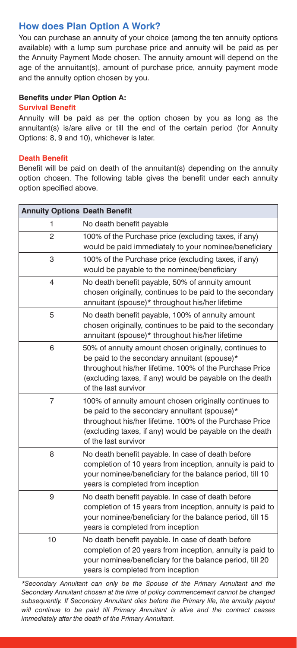## **How does Plan Option A Work?**

You can purchase an annuity of your choice (among the ten annuity options available) with a lump sum purchase price and annuity will be paid as per the Annuity Payment Mode chosen. The annuity amount will depend on the age of the annuitant(s), amount of purchase price, annuity payment mode and the annuity option chosen by you.

#### **Benefits under Plan Option A:**

#### **Survival Benefit**

Annuity will be paid as per the option chosen by you as long as the annuitant(s) is/are alive or till the end of the certain period (for Annuity Options: 8, 9 and 10), whichever is later.

#### **Death Benefit**

Benefit will be paid on death of the annuitant(s) depending on the annuity option chosen. The following table gives the benefit under each annuity option specified above.

| <b>Annuity Options Death Benefit</b> |                                                                                                                                                                                                                                                     |  |
|--------------------------------------|-----------------------------------------------------------------------------------------------------------------------------------------------------------------------------------------------------------------------------------------------------|--|
| 1                                    | No death benefit payable                                                                                                                                                                                                                            |  |
| $\overline{2}$                       | 100% of the Purchase price (excluding taxes, if any)<br>would be paid immediately to your nominee/beneficiary                                                                                                                                       |  |
| 3                                    | 100% of the Purchase price (excluding taxes, if any)<br>would be payable to the nominee/beneficiary                                                                                                                                                 |  |
| 4                                    | No death benefit payable, 50% of annuity amount<br>chosen originally, continues to be paid to the secondary<br>annuitant (spouse)* throughout his/her lifetime                                                                                      |  |
| 5                                    | No death benefit payable, 100% of annuity amount<br>chosen originally, continues to be paid to the secondary<br>annuitant (spouse)* throughout his/her lifetime                                                                                     |  |
| 6                                    | 50% of annuity amount chosen originally, continues to<br>be paid to the secondary annuitant (spouse)*<br>throughout his/her lifetime. 100% of the Purchase Price<br>(excluding taxes, if any) would be payable on the death<br>of the last survivor |  |
| $\overline{7}$                       | 100% of annuity amount chosen originally continues to<br>be paid to the secondary annuitant (spouse)*<br>throughout his/her lifetime. 100% of the Purchase Price<br>(excluding taxes, if any) would be payable on the death<br>of the last survivor |  |
| 8                                    | No death benefit payable. In case of death before<br>completion of 10 years from inception, annuity is paid to<br>your nominee/beneficiary for the balance period, till 10<br>years is completed from inception                                     |  |
| 9                                    | No death benefit payable. In case of death before<br>completion of 15 years from inception, annuity is paid to<br>your nominee/beneficiary for the balance period, till 15<br>years is completed from inception                                     |  |
| 10                                   | No death benefit payable. In case of death before<br>completion of 20 years from inception, annuity is paid to<br>your nominee/beneficiary for the balance period, till 20<br>years is completed from inception                                     |  |

*\*Secondary Annuitant can only be the Spouse of the Primary Annuitant and the Secondary Annuitant chosen at the time of policy commencement cannot be changed subsequently. If Secondary Annuitant dies before the Primary life, the annuity payout will continue to be paid till Primary Annuitant is alive and the contract ceases immediately after the death of the Primary Annuitant.*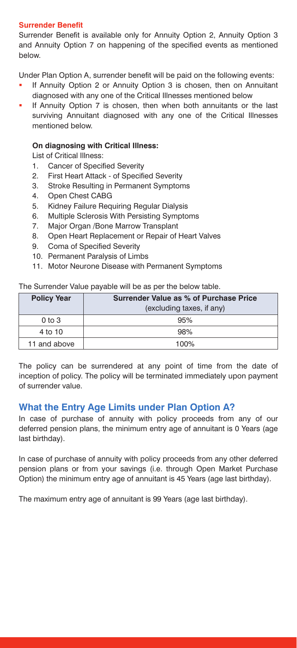#### **Surrender Benefit**

Surrender Benefit is available only for Annuity Option 2, Annuity Option 3 and Annuity Option 7 on happening of the specified events as mentioned below.

Under Plan Option A, surrender benefit will be paid on the following events:

- § If Annuity Option 2 or Annuity Option 3 is chosen, then on Annuitant diagnosed with any one of the Critical Illnesses mentioned below
- § If Annuity Option 7 is chosen, then when both annuitants or the last surviving Annuitant diagnosed with any one of the Critical Illnesses mentioned below.

#### **On diagnosing with Critical Illness:**

List of Critical Illness:

- 1. Cancer of Specified Severity
- 2. First Heart Attack of Specified Severity
- 3. Stroke Resulting in Permanent Symptoms
- 4. Open Chest CABG
- 5. Kidney Failure Requiring Regular Dialysis
- 6. Multiple Sclerosis With Persisting Symptoms
- 7. Major Organ /Bone Marrow Transplant
- 8. Open Heart Replacement or Repair of Heart Valves
- 9. Coma of Specified Severity
- 10. Permanent Paralysis of Limbs
- 11. Motor Neurone Disease with Permanent Symptoms

The Surrender Value payable will be as per the below table.

| <b>Policy Year</b> | Surrender Value as % of Purchase Price |  |
|--------------------|----------------------------------------|--|
|                    | (excluding taxes, if any)              |  |
| $0to$ 3            | 95%                                    |  |
| 4 to 10            | 98%                                    |  |
| 11 and above       | 100%                                   |  |

The policy can be surrendered at any point of time from the date of inception of policy. The policy will be terminated immediately upon payment of surrender value.

## **What the Entry Age Limits under Plan Option A?**

In case of purchase of annuity with policy proceeds from any of our deferred pension plans, the minimum entry age of annuitant is 0 Years (age last birthday).

In case of purchase of annuity with policy proceeds from any other deferred pension plans or from your savings (i.e. through Open Market Purchase Option) the minimum entry age of annuitant is 45 Years (age last birthday).

The maximum entry age of annuitant is 99 Years (age last birthday).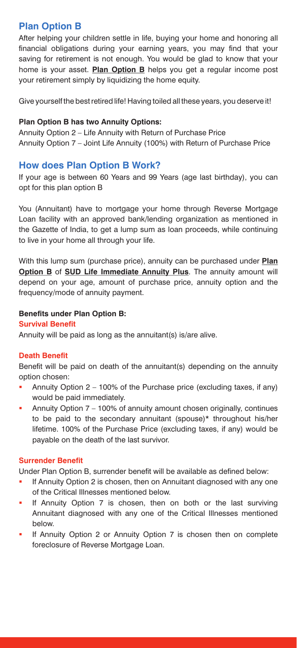## **Plan Option B**

After helping your children settle in life, buying your home and honoring all financial obligations during your earning years, you may find that your saving for retirement is not enough. You would be glad to know that your home is your asset. **Plan Option B** helps you get a regular income post your retirement simply by liquidizing the home equity.

Give yourself the best retired life! Having toiled all these years, you deserve it!

#### **Plan Option B has two Annuity Options:**

Annuity Option 2 – Life Annuity with Return of Purchase Price Annuity Option 7 – Joint Life Annuity (100%) with Return of Purchase Price

## **How does Plan Option B Work?**

If your age is between 60 Years and 99 Years (age last birthday), you can opt for this plan option B

You (Annuitant) have to mortgage your home through Reverse Mortgage Loan facility with an approved bank/lending organization as mentioned in the Gazette of India, to get a lump sum as loan proceeds, while continuing to live in your home all through your life.

With this lump sum (purchase price), annuity can be purchased under **Plan Option B** of **SUD Life Immediate Annuity Plus**. The annuity amount will depend on your age, amount of purchase price, annuity option and the frequency/mode of annuity payment.

## **Benefits under Plan Option B:**

#### **Survival Benefit**

Annuity will be paid as long as the annuitant(s) is/are alive.

## **Death Benefit**

Benefit will be paid on death of the annuitant(s) depending on the annuity option chosen:

- Annuity Option 2 100% of the Purchase price (excluding taxes, if any) would be paid immediately.
- Annuity Option 7 100% of annuity amount chosen originally, continues to be paid to the secondary annuitant (spouse)\* throughout his/her lifetime. 100% of the Purchase Price (excluding taxes, if any) would be payable on the death of the last survivor.

## **Surrender Benefit**

Under Plan Option B, surrender benefit will be available as defined below:

- **If Annuity Option 2 is chosen, then on Annuitant diagnosed with any one** of the Critical Illnesses mentioned below.
- **If Annuity Option 7 is chosen, then on both or the last surviving** Annuitant diagnosed with any one of the Critical Illnesses mentioned below.
- **If Annuity Option 2 or Annuity Option 7 is chosen then on complete** foreclosure of Reverse Mortgage Loan.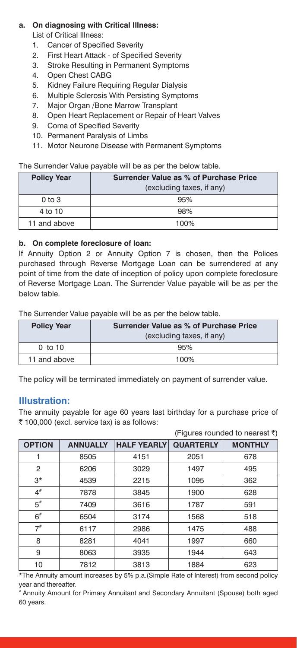## **a. On diagnosing with Critical Illness:**

List of Critical Illness:

- 1. Cancer of Specified Severity
- 2. First Heart Attack of Specified Severity
- 3. Stroke Resulting in Permanent Symptoms
- 4. Open Chest CABG
- 5. Kidney Failure Requiring Regular Dialysis
- 6. Multiple Sclerosis With Persisting Symptoms
- 7. Major Organ /Bone Marrow Transplant
- 8. Open Heart Replacement or Repair of Heart Valves
- 9. Coma of Specified Severity
- 10. Permanent Paralysis of Limbs
- 11. Motor Neurone Disease with Permanent Symptoms

The Surrender Value payable will be as per the below table.

| <b>Policy Year</b> | Surrender Value as % of Purchase Price |  |
|--------------------|----------------------------------------|--|
|                    | (excluding taxes, if any)              |  |
| $0to$ 3            | 95%                                    |  |
| 4 to 10            | 98%                                    |  |
| 11 and above       | 100%                                   |  |

#### **b. On complete foreclosure of loan:**

If Annuity Option 2 or Annuity Option 7 is chosen, then the Polices purchased through Reverse Mortgage Loan can be surrendered at any point of time from the date of inception of policy upon complete foreclosure of Reverse Mortgage Loan. The Surrender Value payable will be as per the below table.

The Surrender Value payable will be as per the below table.

| <b>Policy Year</b> | Surrender Value as % of Purchase Price<br>(excluding taxes, if any) |  |
|--------------------|---------------------------------------------------------------------|--|
| 0 <sub>to 10</sub> | 95%                                                                 |  |
| 11 and above       | 100%                                                                |  |

The policy will be terminated immediately on payment of surrender value.

## **Illustration:**

The annuity payable for age 60 years last birthday for a purchase price of  $\bar{t}$  100,000 (excl. service tax) is as follows:

|               |                 |                    |                  | (Figures rounded to nearest ₹) |
|---------------|-----------------|--------------------|------------------|--------------------------------|
| <b>OPTION</b> | <b>ANNUALLY</b> | <b>HALF YEARLY</b> | <b>QUARTERLY</b> | <b>MONTHLY</b>                 |
|               | 8505            | 4151               | 2051             | 678                            |
| 2             | 6206            | 3029               | 1497             | 495                            |
| $3*$          | 4539            | 2215               | 1095             | 362                            |
| $4^{\#}$      | 7878            | 3845               | 1900             | 628                            |
| $5^*$         | 7409            | 3616               | 1787             | 591                            |
| $6^{\#}$      | 6504            | 3174               | 1568             | 518                            |
| $7^{\#}$      | 6117            | 2986               | 1475             | 488                            |
| 8             | 8281            | 4041               | 1997             | 660                            |
| 9             | 8063            | 3935               | 1944             | 643                            |
| 10            | 7812            | 3813               | 1884             | 623                            |

\*The Annuity amount increases by 5% p.a.(Simple Rate of Interest) from second policy year and thereafter.

# Annuity Amount for Primary Annuitant and Secondary Annuitant (Spouse) both aged 60 years.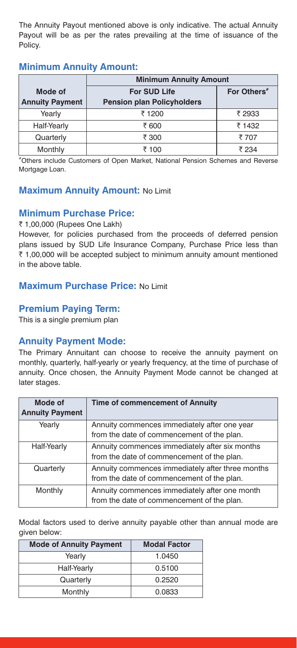The Annuity Payout mentioned above is only indicative. The actual Annuity Payout will be as per the rates prevailing at the time of issuance of the Policy.

## **Minimum Annuity Amount:**

|                                   | <b>Minimum Annuity Amount</b>                            |                         |  |
|-----------------------------------|----------------------------------------------------------|-------------------------|--|
| Mode of<br><b>Annuity Payment</b> | <b>For SUD Life</b><br><b>Pension plan Policyholders</b> | For Others <sup>*</sup> |  |
| Yearly                            | ₹ 1200                                                   | ₹ 2933                  |  |
| Half-Yearly                       | ₹ 600                                                    | ₹ 1432                  |  |
| Quarterly                         | ₹ 300                                                    | ₹ 707                   |  |
| Monthly                           | ₹ 100                                                    | ₹ 234                   |  |

#Others include Customers of Open Market, National Pension Schemes and Reverse Mortgage Loan.

## **Maximum Annuity Amount: No Limit**

## **Minimum Purchase Price:**

₹ 1,00,000 (Rupees One Lakh)

However, for policies purchased from the proceeds of deferred pension plans issued by SUD Life Insurance Company, Purchase Price less than  $\bar{\tau}$  1,00,000 will be accepted subject to minimum annuity amount mentioned in the above table.

## **Maximum Purchase Price: No Limit**

## **Premium Paying Term:**

This is a single premium plan

## **Annuity Payment Mode:**

The Primary Annuitant can choose to receive the annuity payment on monthly, quarterly, half-yearly or yearly frequency, at the time of purchase of annuity. Once chosen, the Annuity Payment Mode cannot be changed at later stages.

| Mode of<br><b>Annuity Payment</b> | Time of commencement of Annuity                                                                |
|-----------------------------------|------------------------------------------------------------------------------------------------|
| Yearly                            | Annuity commences immediately after one year<br>from the date of commencement of the plan.     |
| Half-Yearly                       | Annuity commences immediately after six months<br>from the date of commencement of the plan.   |
| Quarterly                         | Annuity commences immediately after three months<br>from the date of commencement of the plan. |
| Monthly                           | Annuity commences immediately after one month<br>from the date of commencement of the plan.    |

Modal factors used to derive annuity payable other than annual mode are given below:

| <b>Mode of Annuity Payment</b> | <b>Modal Factor</b> |
|--------------------------------|---------------------|
| Yearly                         | 1.0450              |
| Half-Yearly                    | 0.5100              |
| Quarterly                      | 0.2520              |
| Monthly                        | 0.0833              |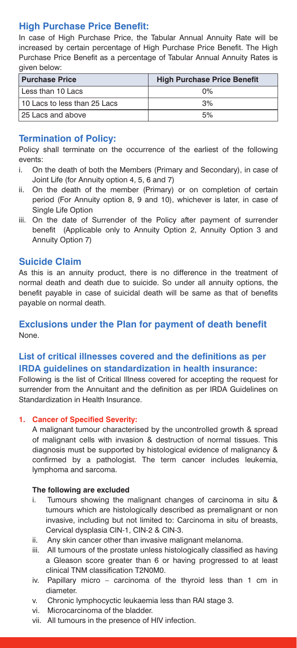## **High Purchase Price Benefit:**

In case of High Purchase Price, the Tabular Annual Annuity Rate will be increased by certain percentage of High Purchase Price Benefit. The High Purchase Price Benefit as a percentage of Tabular Annual Annuity Rates is given below:

| <b>Purchase Price</b>        | <b>High Purchase Price Benefit</b> |
|------------------------------|------------------------------------|
| Less than 10 Lacs            | $0\%$                              |
| 10 Lacs to less than 25 Lacs | 3%                                 |
| l 25 Lacs and above          | 5%                                 |

## **Termination of Policy:**

Policy shall terminate on the occurrence of the earliest of the following events:

- i. On the death of both the Members (Primary and Secondary), in case of Joint Life (for Annuity option 4, 5, 6 and 7)
- ii. On the death of the member (Primary) or on completion of certain period (For Annuity option 8, 9 and 10), whichever is later, in case of Single Life Option
- iii. On the date of Surrender of the Policy after payment of surrender benefit (Applicable only to Annuity Option 2, Annuity Option 3 and Annuity Option 7)

## **Suicide Claim**

As this is an annuity product, there is no difference in the treatment of normal death and death due to suicide. So under all annuity options, the benefit payable in case of suicidal death will be same as that of benefits payable on normal death.

## **Exclusions under the Plan for payment of death benefit** None.

## **List of critical illnesses covered and the definitions as per IRDA guidelines on standardization in health insurance:**

Following is the list of Critical Illness covered for accepting the request for surrender from the Annuitant and the definition as per IRDA Guidelines on Standardization in Health Insurance.

## **1. Cancer of Specified Severity:**

A malignant tumour characterised by the uncontrolled growth & spread of malignant cells with invasion & destruction of normal tissues. This diagnosis must be supported by histological evidence of malignancy & confirmed by a pathologist. The term cancer includes leukemia, lymphoma and sarcoma.

## **The following are excluded**

- i. Tumours showing the malignant changes of carcinoma in situ & tumours which are histologically described as premalignant or non invasive, including but not limited to: Carcinoma in situ of breasts, Cervical dysplasia CIN-1, CIN-2 & CIN-3.
- ii. Any skin cancer other than invasive malignant melanoma.
- iii. All tumours of the prostate unless histologically classified as having a Gleason score greater than 6 or having progressed to at least clinical TNM classification T2N0M0.
- iv. Papillary micro carcinoma of the thyroid less than 1 cm in diameter.
- v. Chronic lymphocyctic leukaemia less than RAI stage 3.
- vi. Microcarcinoma of the bladder.
- vii. All tumours in the presence of HIV infection.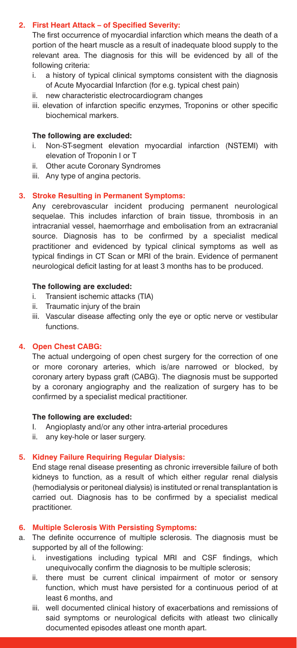#### **2. First Heart Attack – of Specified Severity:**

The first occurrence of myocardial infarction which means the death of a portion of the heart muscle as a result of inadequate blood supply to the relevant area. The diagnosis for this will be evidenced by all of the following criteria:

- a history of typical clinical symptoms consistent with the diagnosis of Acute Myocardial Infarction (for e.g. typical chest pain)
- ii. new characteristic electrocardiogram changes
- iii. elevation of infarction specific enzymes, Troponins or other specific biochemical markers.

#### **The following are excluded:**

- Non-ST-segment elevation myocardial infarction (NSTEMI) with elevation of Troponin I or T
- ii. Other acute Coronary Syndromes
- iii. Any type of angina pectoris.

#### **3. Stroke Resulting in Permanent Symptoms:**

Any cerebrovascular incident producing permanent neurological sequelae. This includes infarction of brain tissue, thrombosis in an intracranial vessel, haemorrhage and embolisation from an extracranial source. Diagnosis has to be confirmed by a specialist medical practitioner and evidenced by typical clinical symptoms as well as typical findings in CT Scan or MRI of the brain. Evidence of permanent neurological deficit lasting for at least 3 months has to be produced.

#### **The following are excluded:**

- i. Transient ischemic attacks (TIA)
- ii. Traumatic injury of the brain
- iii. Vascular disease affecting only the eye or optic nerve or vestibular functions.

#### **4. Open Chest CABG:**

The actual undergoing of open chest surgery for the correction of one or more coronary arteries, which is/are narrowed or blocked, by coronary artery bypass graft (CABG). The diagnosis must be supported by a coronary angiography and the realization of surgery has to be confirmed by a specialist medical practitioner.

#### **The following are excluded:**

- I. Angioplasty and/or any other intra-arterial procedures
- ii. any key-hole or laser surgery.

#### **5. Kidney Failure Requiring Regular Dialysis:**

End stage renal disease presenting as chronic irreversible failure of both kidneys to function, as a result of which either regular renal dialysis (hemodialysis or peritoneal dialysis) is instituted or renal transplantation is carried out. Diagnosis has to be confirmed by a specialist medical practitioner.

#### **6. Multiple Sclerosis With Persisting Symptoms:**

- a. The definite occurrence of multiple sclerosis. The diagnosis must be supported by all of the following:
	- i. investigations including typical MRI and CSF findings, which unequivocally confirm the diagnosis to be multiple sclerosis;
	- ii. there must be current clinical impairment of motor or sensory function, which must have persisted for a continuous period of at least 6 months, and
	- iii. well documented clinical history of exacerbations and remissions of said symptoms or neurological deficits with atleast two clinically documented episodes atleast one month apart.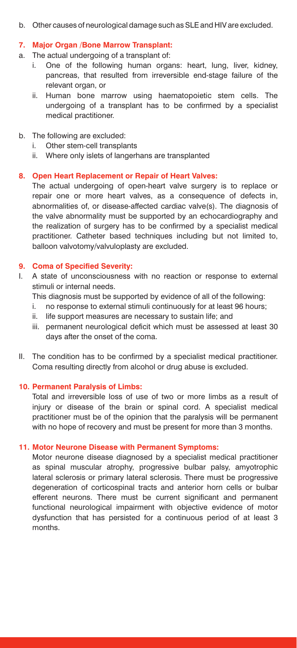b. Other causes of neurological damage such as SLE and HIV are excluded.

#### **7. Major Organ /Bone Marrow Transplant:**

- a. The actual undergoing of a transplant of:
	- i. One of the following human organs: heart, lung, liver, kidney, pancreas, that resulted from irreversible end-stage failure of the relevant organ, or
	- ii. Human bone marrow using haematopoietic stem cells. The undergoing of a transplant has to be confirmed by a specialist medical practitioner.
- b. The following are excluded:
	- i. Other stem-cell transplants
	- ii. Where only islets of langerhans are transplanted

#### **8. Open Heart Replacement or Repair of Heart Valves:**

The actual undergoing of open-heart valve surgery is to replace or repair one or more heart valves, as a consequence of defects in, abnormalities of, or disease-affected cardiac valve(s). The diagnosis of the valve abnormality must be supported by an echocardiography and the realization of surgery has to be confirmed by a specialist medical practitioner. Catheter based techniques including but not limited to, balloon valvotomy/valvuloplasty are excluded.

#### **9. Coma of Specified Severity:**

- I. A state of unconsciousness with no reaction or response to external stimuli or internal needs.
	- This diagnosis must be supported by evidence of all of the following:
	- i. no response to external stimuli continuously for at least 96 hours;
	- ii. life support measures are necessary to sustain life; and
	- iii. permanent neurological deficit which must be assessed at least 30 days after the onset of the coma.
- II. The condition has to be confirmed by a specialist medical practitioner. Coma resulting directly from alcohol or drug abuse is excluded.

#### **10. Permanent Paralysis of Limbs:**

Total and irreversible loss of use of two or more limbs as a result of injury or disease of the brain or spinal cord. A specialist medical practitioner must be of the opinion that the paralysis will be permanent with no hope of recovery and must be present for more than 3 months.

#### **11. Motor Neurone Disease with Permanent Symptoms:**

Motor neurone disease diagnosed by a specialist medical practitioner as spinal muscular atrophy, progressive bulbar palsy, amyotrophic lateral sclerosis or primary lateral sclerosis. There must be progressive degeneration of corticospinal tracts and anterior horn cells or bulbar efferent neurons. There must be current significant and permanent functional neurological impairment with objective evidence of motor dysfunction that has persisted for a continuous period of at least 3 months.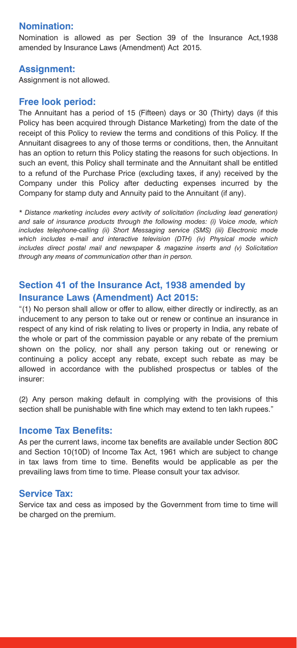## **Nomination:**

Nomination is allowed as per Section 39 of the Insurance Act,1938 amended by Insurance Laws (Amendment) Act 2015.

## **Assignment:**

Assignment is not allowed.

## **Free look period:**

The Annuitant has a period of 15 (Fifteen) days or 30 (Thirty) days (if this Policy has been acquired through Distance Marketing) from the date of the receipt of this Policy to review the terms and conditions of this Policy. If the Annuitant disagrees to any of those terms or conditions, then, the Annuitant has an option to return this Policy stating the reasons for such objections. In such an event, this Policy shall terminate and the Annuitant shall be entitled to a refund of the Purchase Price (excluding taxes, if any) received by the Company under this Policy after deducting expenses incurred by the Company for stamp duty and Annuity paid to the Annuitant (if any).

*\* Distance marketing includes every activity of solicitation (including lead generation) and sale of insurance products through the following modes: (i) Voice mode, which includes telephone-calling (ii) Short Messaging service (SMS) (iii) Electronic mode which includes e-mail and interactive television (DTH) (iv) Physical mode which includes direct postal mail and newspaper & magazine inserts and (v) Solicitation through any means of communication other than in person.*

## **Section 41 of the Insurance Act, 1938 amended by Insurance Laws (Amendment) Act 2015:**

"(1) No person shall allow or offer to allow, either directly or indirectly, as an inducement to any person to take out or renew or continue an insurance in respect of any kind of risk relating to lives or property in India, any rebate of the whole or part of the commission payable or any rebate of the premium shown on the policy, nor shall any person taking out or renewing or continuing a policy accept any rebate, except such rebate as may be allowed in accordance with the published prospectus or tables of the insurer:

(2) Any person making default in complying with the provisions of this section shall be punishable with fine which may extend to ten lakh rupees."

## **Income Tax Benefits:**

As per the current laws, income tax benefits are available under Section 80C and Section 10(10D) of Income Tax Act, 1961 which are subject to change in tax laws from time to time. Benefits would be applicable as per the prevailing laws from time to time. Please consult your tax advisor.

## **Service Tax:**

Service tax and cess as imposed by the Government from time to time will be charged on the premium.